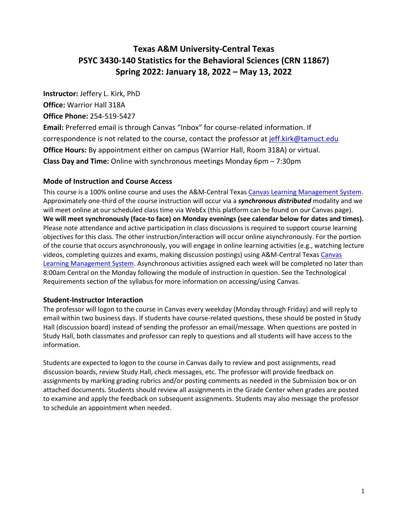# **Texas A&M University-Central Texas PSYC 3430-140 Statistics for the Behavioral Sciences (CRN 11867) Spring 2022: January 18, 2022 – May 13, 2022**

**Instructor:** Jeffery L. Kirk, PhD

**Office:** Warrior Hall 318A

**Office Phone:** 254-519-5427

**Email:** Preferred email is through Canvas "Inbox" for course-related information. If correspondence is not related to the course, contact the professor at [jeff.kirk@tamuct.edu](file:///C:/Users/Jeff/AppData/Local/Temp/jeff.kirk@tamuct.edu) **Office Hours:** By appointment either on campus (Warrior Hall, Room 318A) or virtual. **Class Day and Time:** Online with synchronous meetings Monday 6pm – 7:30pm

# **Mode of Instruction and Course Access**

This course is a 100% online course and uses the A&M-Central Texa[s Canvas Learning Management System.](https://tamuct.instructure.com/) Approximately one-third of the course instruction will occur via a *synchronous distributed* modality and we will meet online at our scheduled class time via WebEx (this platform can be found on our Canvas page). **We will meet synchronously (face-to face) on Monday evenings (see calendar below for dates and times).** Please note attendance and active participation in class discussions is required to support course learning objectives for this class. The other instruction/interaction will occur online asynchronously. For the portion of the course that occurs asynchronously, you will engage in online learning activities (e.g., watching lecture videos, completing quizzes and exams, making discussion postings) using A&M-Central Texa[s Canvas](https://tamuct.instructure.com/)  [Learning Management System.](https://tamuct.instructure.com/) Asynchronous activities assigned each week will be completed no later than 8:00am Central on the Monday following the module of instruction in question. See the Technological Requirements section of the syllabus for more information on accessing/using Canvas.

## **Student-Instructor Interaction**

The professor will logon to the course in Canvas every weekday (Monday through Friday) and will reply to email within two business days. If students have course-related questions, these should be posted in Study Hall (discussion board) instead of sending the professor an email/message. When questions are posted in Study Hall, both classmates and professor can reply to questions and all students will have access to the information.

Students are expected to logon to the course in Canvas daily to review and post assignments, read discussion boards, review Study Hall, check messages, etc. The professor will provide feedback on assignments by marking grading rubrics and/or posting comments as needed in the Submission box or on attached documents. Students should review all assignments in the Grade Center when grades are posted to examine and apply the feedback on subsequent assignments. Students may also message the professor to schedule an appointment when needed.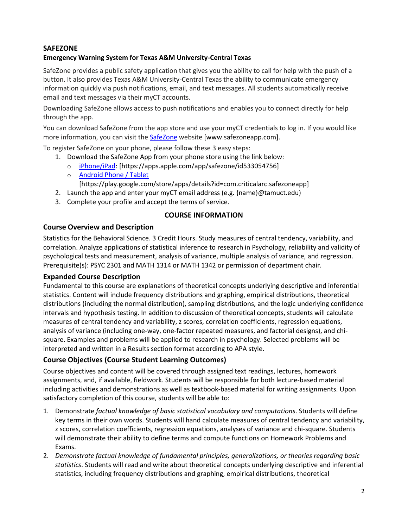# **SAFEZONE**

## **Emergency Warning System for Texas A&M University-Central Texas**

SafeZone provides a public safety application that gives you the ability to call for help with the push of a button. It also provides Texas A&M University-Central Texas the ability to communicate emergency information quickly via push notifications, email, and text messages. All students automatically receive email and text messages via their myCT accounts.

Downloading SafeZone allows access to push notifications and enables you to connect directly for help through the app.

You can download SafeZone from the app store and use your myCT credentials to log in. If you would like more information, you can visit the [SafeZone](http://www.safezoneapp.com/) website [www.safezoneapp.com].

To register SafeZone on your phone, please follow these 3 easy steps:

- 1. Download the SafeZone App from your phone store using the link below:
	- o [iPhone/iPad:](https://apps.apple.com/app/safezone/id533054756) [https://apps.apple.com/app/safezone/id533054756]
	- o [Android Phone / Tablet](https://play.google.com/store/apps/details?id=com.criticalarc.safezoneapp) [https://play.google.com/store/apps/details?id=com.criticalarc.safezoneapp]
- 2. Launch the app and enter your myCT email address (e.g. {name}@tamuct.edu)
- 3. Complete your profile and accept the terms of service.

## **COURSE INFORMATION**

## **Course Overview and Description**

Statistics for the Behavioral Science. 3 Credit Hours. Study measures of central tendency, variability, and correlation. Analyze applications of statistical inference to research in Psychology, reliability and validity of psychological tests and measurement, analysis of variance, multiple analysis of variance, and regression. Prerequisite(s): PSYC 2301 and MATH 1314 or MATH 1342 or permission of department chair.

#### **Expanded Course Description**

Fundamental to this course are explanations of theoretical concepts underlying descriptive and inferential statistics. Content will include frequency distributions and graphing, empirical distributions, theoretical distributions (including the normal distribution), sampling distributions, and the logic underlying confidence intervals and hypothesis testing. In addition to discussion of theoretical concepts, students will calculate measures of central tendency and variability, z scores, correlation coefficients, regression equations, analysis of variance (including one-way, one-factor repeated measures, and factorial designs), and chisquare. Examples and problems will be applied to research in psychology. Selected problems will be interpreted and written in a Results section format according to APA style.

## **Course Objectives (Course Student Learning Outcomes)**

Course objectives and content will be covered through assigned text readings, lectures, homework assignments, and, if available, fieldwork. Students will be responsible for both lecture-based material including activities and demonstrations as well as textbook-based material for writing assignments. Upon satisfactory completion of this course, students will be able to:

- 1. Demonstrate *factual knowledge of basic statistical vocabulary and computations*. Students will define key terms in their own words. Students will hand calculate measures of central tendency and variability, z scores, correlation coefficients, regression equations, analyses of variance and chi-square. Students will demonstrate their ability to define terms and compute functions on Homework Problems and Exams.
- 2. *Demonstrate factual knowledge of fundamental principles, generalizations, or theories regarding basic statistics*. Students will read and write about theoretical concepts underlying descriptive and inferential statistics, including frequency distributions and graphing, empirical distributions, theoretical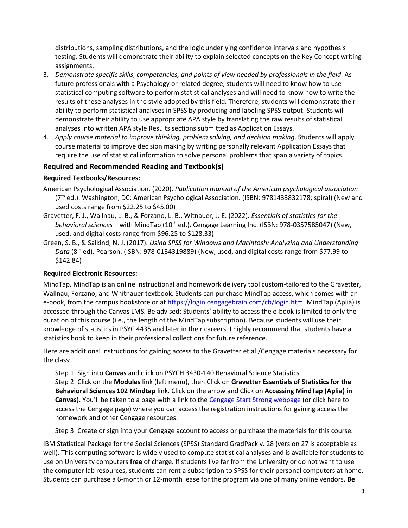distributions, sampling distributions, and the logic underlying confidence intervals and hypothesis testing. Students will demonstrate their ability to explain selected concepts on the Key Concept writing assignments.

- 3. *Demonstrate specific skills, competencies, and points of view needed by professionals in the field*. As future professionals with a Psychology or related degree, students will need to know how to use statistical computing software to perform statistical analyses and will need to know how to write the results of these analyses in the style adopted by this field. Therefore, students will demonstrate their ability to perform statistical analyses in SPSS by producing and labeling SPSS output. Students will demonstrate their ability to use appropriate APA style by translating the raw results of statistical analyses into written APA style Results sections submitted as Application Essays.
- 4. *Apply course material to improve thinking, problem solving, and decision making*. Students will apply course material to improve decision making by writing personally relevant Application Essays that require the use of statistical information to solve personal problems that span a variety of topics.

## **Required and Recommended Reading and Textbook(s)**

## **Required Textbooks/Resources:**

- American Psychological Association. (2020). *Publication manual of the American psychological association* (7<sup>th</sup> ed.). Washington, DC: American Psychological Association. (ISBN: 9781433832178; spiral) (New and used costs range from \$22.25 to \$45.00)
- Gravetter, F. J., Wallnau, L. B., & Forzano, L. B., Witnauer, J. E. (2022). *Essentials of statistics for the behavioral sciences* – with MindTap (10<sup>th</sup> ed.). Cengage Learning Inc. (ISBN: 978-0357585047) (New, used, and digital costs range from \$96.25 to \$128.33)
- Green, S. B., & Salkind, N. J. (2017). *Using SPSS for Windows and Macintosh: Analyzing and Understanding Data* (8th ed). Pearson. (ISBN: 978-0134319889) (New, used, and digital costs range from \$77.99 to \$142.84)

#### **Required Electronic Resources:**

MindTap. MindTap is an online instructional and homework delivery tool custom-tailored to the Gravetter, Wallnau, Forzano, and Whitnauer textbook. Students can purchase MindTap access, which comes with an e-book, from the campus bookstore or a[t https://login.cengagebrain.com/cb/login.htm.](https://login.cengagebrain.com/cb/login.htm) MindTap (Aplia) is accessed through the Canvas LMS. Be advised: Students' ability to access the e-book is limited to only the duration of this course (i.e., the length of the MindTap subscription). Because students will use their knowledge of statistics in PSYC 4435 and later in their careers, I highly recommend that students have a statistics book to keep in their professional collections for future reference.

Here are additional instructions for gaining access to the Gravetter et al./Cengage materials necessary for the class:

Step 1: Sign into **Canvas** and click on PSYCH 3430-140 Behavioral Science Statistics Step 2: Click on the **Modules** link (left menu), then Click on **Gravetter Essentials of Statistics for the Behavioral Sciences 102 Mindtap** link. Click on the arrow and Click on **Accessing MindTap (Aplia) in**  Canvas). You'll be taken to a page with a link to the **[Cengage Start Strong webpage](https://startstrong.cengage.com/)** (or click here to access the Cengage page) where you can access the registration instructions for gaining access the homework and other Cengage resources.

Step 3: Create or sign into your Cengage account to access or purchase the materials for this course.

IBM Statistical Package for the Social Sciences (SPSS) Standard GradPack v. 28 (version 27 is acceptable as well). This computing software is widely used to compute statistical analyses and is available for students to use on University computers **free** of charge. If students live far from the University or do not want to use the computer lab resources, students can rent a subscription to SPSS for their personal computers at home. Students can purchase a 6-month or 12-month lease for the program via one of many online vendors. **Be**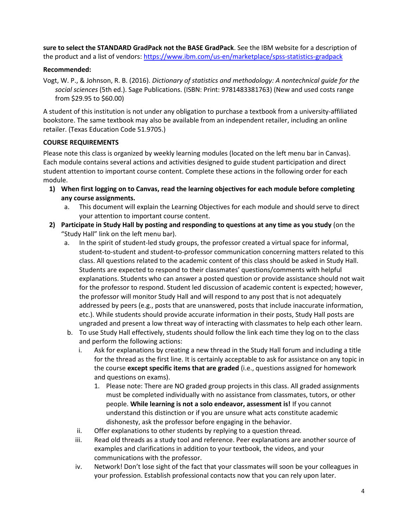**sure to select the STANDARD GradPack not the BASE GradPack**. See the IBM website for a description of the product and a list of vendors[: https://www.ibm.com/us-en/marketplace/spss-statistics-gradpack](https://www.ibm.com/us-en/marketplace/spss-statistics-gradpack)

# **Recommended:**

Vogt, W. P., & Johnson, R. B. (2016). *Dictionary of statistics and methodology: A nontechnical guide for the social sciences* (5th ed.). Sage Publications. (ISBN: Print: 9781483381763) (New and used costs range from \$29.95 to \$60.00)

A student of this institution is not under any obligation to purchase a textbook from a university-affiliated bookstore. The same textbook may also be available from an independent retailer, including an online retailer. (Texas Education Code 51.9705.)

# **COURSE REQUIREMENTS**

Please note this class is organized by weekly learning modules (located on the left menu bar in Canvas). Each module contains several actions and activities designed to guide student participation and direct student attention to important course content. Complete these actions in the following order for each module.

- **1) When first logging on to Canvas, read the learning objectives for each module before completing any course assignments.**
	- a. This document will explain the Learning Objectives for each module and should serve to direct your attention to important course content.
- **2) Participate in Study Hall by posting and responding to questions at any time as you study** (on the "Study Hall" link on the left menu bar).
	- a. In the spirit of student-led study groups, the professor created a virtual space for informal, student-to-student and student-to-professor communication concerning matters related to this class. All questions related to the academic content of this class should be asked in Study Hall. Students are expected to respond to their classmates' questions/comments with helpful explanations. Students who can answer a posted question or provide assistance should not wait for the professor to respond. Student led discussion of academic content is expected; however, the professor will monitor Study Hall and will respond to any post that is not adequately addressed by peers (e.g., posts that are unanswered, posts that include inaccurate information, etc.). While students should provide accurate information in their posts, Study Hall posts are ungraded and present a low threat way of interacting with classmates to help each other learn.
	- b. To use Study Hall effectively, students should follow the link each time they log on to the class and perform the following actions:
		- i. Ask for explanations by creating a new thread in the Study Hall forum and including a title for the thread as the first line. It is certainly acceptable to ask for assistance on any topic in the course **except specific items that are graded** (i.e., questions assigned for homework and questions on exams).
			- 1. Please note: There are NO graded group projects in this class. All graded assignments must be completed individually with no assistance from classmates, tutors, or other people. **While learning is not a solo endeavor, assessment is!** If you cannot understand this distinction or if you are unsure what acts constitute academic dishonesty, ask the professor before engaging in the behavior.
		- ii. Offer explanations to other students by replying to a question thread.
		- iii. Read old threads as a study tool and reference. Peer explanations are another source of examples and clarifications in addition to your textbook, the videos, and your communications with the professor.
		- iv. Network! Don't lose sight of the fact that your classmates will soon be your colleagues in your profession. Establish professional contacts now that you can rely upon later.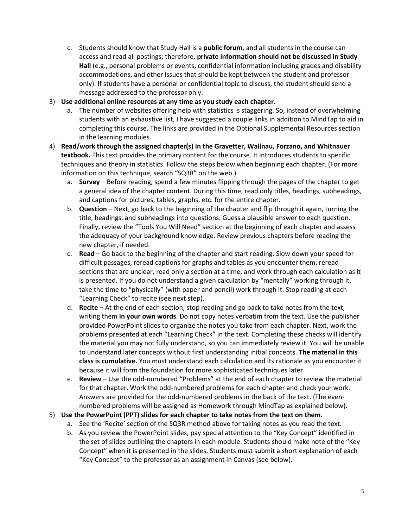- c. Students should know that Study Hall is a **public forum,** and all students in the course can access and read all postings; therefore, **private information should not be discussed in Study Hall** (e.g., personal problems or events, confidential information including grades and disability accommodations, and other issues that should be kept between the student and professor only). If students have a personal or confidential topic to discuss, the student should send a message addressed to the professor only.
- 3) **Use additional online resources at any time as you study each chapter.**
	- a. The number of websites offering help with statistics is staggering. So, instead of overwhelming students with an exhaustive list, I have suggested a couple links in addition to MindTap to aid in completing this course. The links are provided in the Optional Supplemental Resources section in the learning modules.
- 4) **Read/work through the assigned chapter(s) in the Gravetter, Wallnau, Forzano, and Whitnauer textbook.** This text provides the primary content for the course. It introduces students to specific techniques and theory in statistics. Follow the steps below when beginning each chapter. (For more information on this technique, search "SQ3R" on the web.)
	- a. **Survey** Before reading, spend a few minutes flipping through the pages of the chapter to get a general idea of the chapter content. During this time, read only titles, headings, subheadings, and captions for pictures, tables, graphs, etc. for the entire chapter.
	- b. **Question** Next, go back to the beginning of the chapter and flip through it again, turning the title, headings, and subheadings into questions. Guess a plausible answer to each question. Finally, review the "Tools You Will Need" section at the beginning of each chapter and assess the adequacy of your background knowledge. Review previous chapters before reading the new chapter, if needed.
	- c. **Read** Go back to the beginning of the chapter and start reading. Slow down your speed for difficult passages, reread captions for graphs and tables as you encounter them, reread sections that are unclear, read only a section at a time, and work through each calculation as it is presented. If you do not understand a given calculation by "mentally" working through it, take the time to "physically" (with paper and pencil) work through it. Stop reading at each "Learning Check" to recite (see next step).
	- d. **Recite** At the end of each section, stop reading and go back to take notes from the text, writing them **in your own words**. Do not copy notes verbatim from the text. Use the publisher provided PowerPoint slides to organize the notes you take from each chapter. Next, work the problems presented at each "Learning Check" in the text. Completing these checks will identify the material you may not fully understand, so you can immediately review it. You will be unable to understand later concepts without first understanding initial concepts. **The material in this class is cumulative.** You must understand each calculation and its rationale as you encounter it because it will form the foundation for more sophisticated techniques later.
	- e. **Review** Use the odd-numbered "Problems" at the end of each chapter to review the material for that chapter. Work the odd-numbered problems for each chapter and check your work. Answers are provided for the odd-numbered problems in the back of the text. (The evennumbered problems will be assigned as Homework through MindTap as explained below).
- 5) **Use the PowerPoint (PPT) slides for each chapter to take notes from the text on them.**
	- a. See the 'Recite' section of the SQ3R method above for taking notes as you read the text.
	- b. As you review the PowerPoint slides, pay special attention to the "Key Concept" identified in the set of slides outlining the chapters in each module. Students should make note of the "Key Concept" when it is presented in the slides. Students must submit a short explanation of each "Key Concept" to the professor as an assignment in Canvas (see below).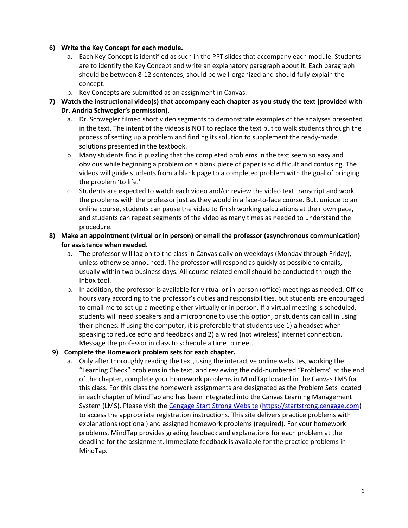#### **6) Write the Key Concept for each module.**

- a. Each Key Concept is identified as such in the PPT slides that accompany each module. Students are to identify the Key Concept and write an explanatory paragraph about it. Each paragraph should be between 8-12 sentences, should be well-organized and should fully explain the concept.
- b. Key Concepts are submitted as an assignment in Canvas.
- **7) Watch the instructional video(s) that accompany each chapter as you study the text (provided with Dr. Andria Schwegler's permission).**
	- a. Dr. Schwegler filmed short video segments to demonstrate examples of the analyses presented in the text. The intent of the videos is NOT to replace the text but to walk students through the process of setting up a problem and finding its solution to supplement the ready-made solutions presented in the textbook.
	- b. Many students find it puzzling that the completed problems in the text seem so easy and obvious while beginning a problem on a blank piece of paper is so difficult and confusing. The videos will guide students from a blank page to a completed problem with the goal of bringing the problem 'to life.'
	- c. Students are expected to watch each video and/or review the video text transcript and work the problems with the professor just as they would in a face-to-face course. But, unique to an online course, students can pause the video to finish working calculations at their own pace, and students can repeat segments of the video as many times as needed to understand the procedure.
- **8) Make an appointment (virtual or in person) or email the professor (asynchronous communication) for assistance when needed.**
	- a. The professor will log on to the class in Canvas daily on weekdays (Monday through Friday), unless otherwise announced. The professor will respond as quickly as possible to emails, usually within two business days. All course-related email should be conducted through the Inbox tool.
	- b. In addition, the professor is available for virtual or in-person (office) meetings as needed. Office hours vary according to the professor's duties and responsibilities, but students are encouraged to email me to set up a meeting either virtually or in person. If a virtual meeting is scheduled, students will need speakers and a microphone to use this option, or students can call in using their phones. If using the computer, it is preferable that students use 1) a headset when speaking to reduce echo and feedback and 2) a wired (not wireless) internet connection. Message the professor in class to schedule a time to meet.
- **9) Complete the Homework problem sets for each chapter.**
	- a. Only after thoroughly reading the text, using the interactive online websites, working the "Learning Check" problems in the text, and reviewing the odd-numbered "Problems" at the end of the chapter, complete your homework problems in MindTap located in the Canvas LMS for this class. For this class the homework assignments are designated as the Problem Sets located in each chapter of MindTap and has been integrated into the Canvas Learning Management System (LMS). Please visit th[e Cengage Start Strong Website](https://startstrong.cengage.com/) [\(https://startstrong.cengage.com\)](https://startstrong.cengage.com/) to access the appropriate registration instructions. This site delivers practice problems with explanations (optional) and assigned homework problems (required). For your homework problems, MindTap provides grading feedback and explanations for each problem at the deadline for the assignment. Immediate feedback is available for the practice problems in MindTap.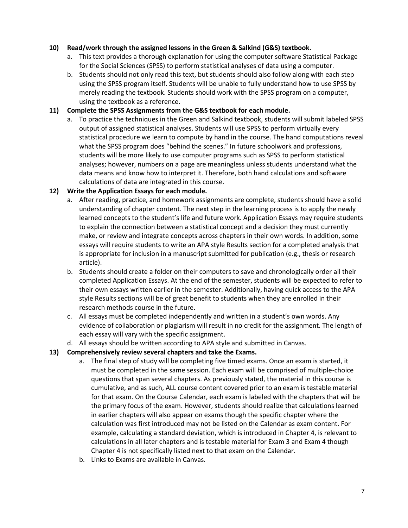## **10) Read/work through the assigned lessons in the Green & Salkind (G&S) textbook.**

- a. This text provides a thorough explanation for using the computer software Statistical Package for the Social Sciences (SPSS) to perform statistical analyses of data using a computer.
- b. Students should not only read this text, but students should also follow along with each step using the SPSS program itself. Students will be unable to fully understand how to use SPSS by merely reading the textbook. Students should work with the SPSS program on a computer, using the textbook as a reference.

#### **11) Complete the SPSS Assignments from the G&S textbook for each module.**

a. To practice the techniques in the Green and Salkind textbook, students will submit labeled SPSS output of assigned statistical analyses. Students will use SPSS to perform virtually every statistical procedure we learn to compute by hand in the course. The hand computations reveal what the SPSS program does "behind the scenes." In future schoolwork and professions, students will be more likely to use computer programs such as SPSS to perform statistical analyses; however, numbers on a page are meaningless unless students understand what the data means and know how to interpret it. Therefore, both hand calculations and software calculations of data are integrated in this course.

## **12) Write the Application Essays for each module.**

- a. After reading, practice, and homework assignments are complete, students should have a solid understanding of chapter content. The next step in the learning process is to apply the newly learned concepts to the student's life and future work. Application Essays may require students to explain the connection between a statistical concept and a decision they must currently make, or review and integrate concepts across chapters in their own words. In addition, some essays will require students to write an APA style Results section for a completed analysis that is appropriate for inclusion in a manuscript submitted for publication (e.g., thesis or research article).
- b. Students should create a folder on their computers to save and chronologically order all their completed Application Essays. At the end of the semester, students will be expected to refer to their own essays written earlier in the semester. Additionally, having quick access to the APA style Results sections will be of great benefit to students when they are enrolled in their research methods course in the future.
- c. All essays must be completed independently and written in a student's own words. Any evidence of collaboration or plagiarism will result in no credit for the assignment. The length of each essay will vary with the specific assignment.
- d. All essays should be written according to APA style and submitted in Canvas.

#### **13) Comprehensively review several chapters and take the Exams.**

- a. The final step of study will be completing five timed exams. Once an exam is started, it must be completed in the same session. Each exam will be comprised of multiple-choice questions that span several chapters. As previously stated, the material in this course is cumulative, and as such, ALL course content covered prior to an exam is testable material for that exam. On the Course Calendar, each exam is labeled with the chapters that will be the primary focus of the exam. However, students should realize that calculations learned in earlier chapters will also appear on exams though the specific chapter where the calculation was first introduced may not be listed on the Calendar as exam content. For example, calculating a standard deviation, which is introduced in Chapter 4, is relevant to calculations in all later chapters and is testable material for Exam 3 and Exam 4 though Chapter 4 is not specifically listed next to that exam on the Calendar.
- b. Links to Exams are available in Canvas.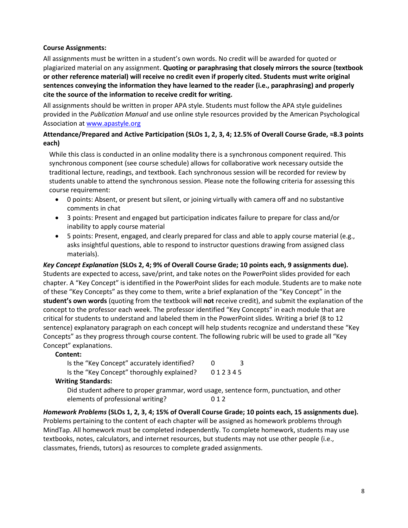#### **Course Assignments:**

All assignments must be written in a student's own words. No credit will be awarded for quoted or plagiarized material on any assignment. **Quoting or paraphrasing that closely mirrors the source (textbook or other reference material) will receive no credit even if properly cited. Students must write original sentences conveying the information they have learned to the reader (i.e., paraphrasing) and properly cite the source of the information to receive credit for writing.** 

All assignments should be written in proper APA style. Students must follow the APA style guidelines provided in the *Publication Manual* and use online style resources provided by the American Psychological Association a[t www.apastyle.org](http://www.apastyle.org/)

## **Attendance/Prepared and Active Participation (SLOs 1, 2, 3, 4; 12.5% of Overall Course Grade, ≈8.3 points each)**

While this class is conducted in an online modality there is a synchronous component required. This synchronous component (see course schedule) allows for collaborative work necessary outside the traditional lecture, readings, and textbook. Each synchronous session will be recorded for review by students unable to attend the synchronous session. Please note the following criteria for assessing this course requirement:

- 0 points: Absent, or present but silent, or joining virtually with camera off and no substantive comments in chat
- 3 points: Present and engaged but participation indicates failure to prepare for class and/or inability to apply course material
- 5 points: Present, engaged, and clearly prepared for class and able to apply course material (e.g., asks insightful questions, able to respond to instructor questions drawing from assigned class materials).

*Key Concept Explanation* **(SLOs 2, 4; 9% of Overall Course Grade; 10 points each, 9 assignments due).** Students are expected to access, save/print, and take notes on the PowerPoint slides provided for each chapter. A "Key Concept" is identified in the PowerPoint slides for each module. Students are to make note of these "Key Concepts" as they come to them, write a brief explanation of the "Key Concept" in the **student's own words** (quoting from the textbook will **not** receive credit), and submit the explanation of the concept to the professor each week. The professor identified "Key Concepts" in each module that are critical for students to understand and labeled them in the PowerPoint slides. Writing a brief (8 to 12 sentence) explanatory paragraph on each concept will help students recognize and understand these "Key Concepts" as they progress through course content. The following rubric will be used to grade all "Key Concept" explanations.

#### **Content:**

| Is the "Key Concept" accurately identified? |        | 3 |
|---------------------------------------------|--------|---|
| Is the "Key Concept" thoroughly explained?  | 012345 |   |
| <b>Writing Standards:</b>                   |        |   |

Did student adhere to proper grammar, word usage, sentence form, punctuation, and other elements of professional writing? 0 1 2

*Homework Problems* **(SLOs 1, 2, 3, 4; 15% of Overall Course Grade; 10 points each, 15 assignments due)***.* Problems pertaining to the content of each chapter will be assigned as homework problems through MindTap. All homework must be completed independently. To complete homework, students may use textbooks, notes, calculators, and internet resources, but students may not use other people (i.e., classmates, friends, tutors) as resources to complete graded assignments.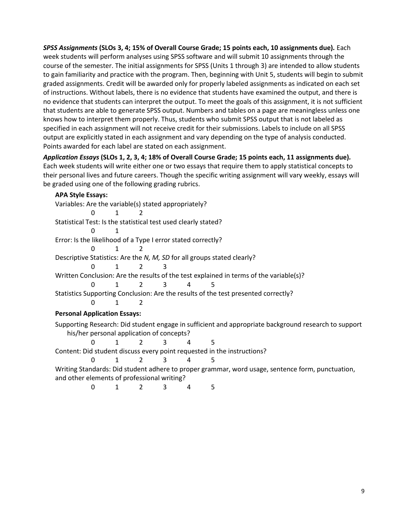*SPSS Assignments* **(SLOs 3, 4; 15% of Overall Course Grade; 15 points each, 10 assignments due)***.* Each week students will perform analyses using SPSS software and will submit 10 assignments through the course of the semester. The initial assignments for SPSS (Units 1 through 3) are intended to allow students to gain familiarity and practice with the program. Then, beginning with Unit 5, students will begin to submit graded assignments. Credit will be awarded only for properly labeled assignments as indicated on each set of instructions. Without labels, there is no evidence that students have examined the output, and there is no evidence that students can interpret the output. To meet the goals of this assignment, it is not sufficient that students are able to generate SPSS output. Numbers and tables on a page are meaningless unless one knows how to interpret them properly. Thus, students who submit SPSS output that is not labeled as specified in each assignment will not receive credit for their submissions. Labels to include on all SPSS output are explicitly stated in each assignment and vary depending on the type of analysis conducted. Points awarded for each label are stated on each assignment.

*Application Essays* **(SLOs 1, 2, 3, 4; 18% of Overall Course Grade; 15 points each, 11 assignments due)***.*  Each week students will write either one or two essays that require them to apply statistical concepts to their personal lives and future careers. Though the specific writing assignment will vary weekly, essays will be graded using one of the following grading rubrics.

**APA Style Essays:** Variables: Are the variable(s) stated appropriately? 0 1 2 Statistical Test: Is the statistical test used clearly stated? 0 1 Error: Is the likelihood of a Type I error stated correctly? 0 1 2 Descriptive Statistics: Are the *N, M, SD* for all groups stated clearly? 0 1 2 3 Written Conclusion: Are the results of the test explained in terms of the variable(s)? 0 1 2 3 4 5 Statistics Supporting Conclusion: Are the results of the test presented correctly? 0 1 2 **Personal Application Essays:** Supporting Research: Did student engage in sufficient and appropriate background research to support his/her personal application of concepts? 0 1 2 3 4 5 Content: Did student discuss every point requested in the instructions? 0 1 2 3 4 5 Writing Standards: Did student adhere to proper grammar, word usage, sentence form, punctuation, and other elements of professional writing?

0 1 2 3 4 5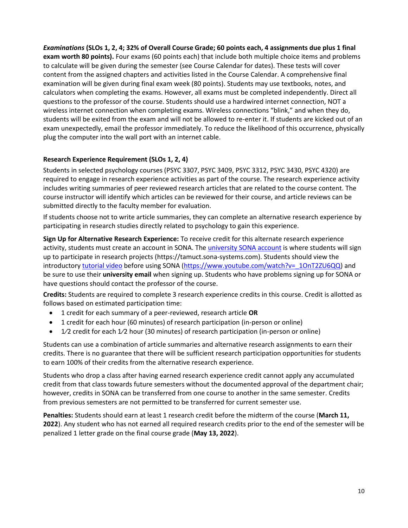*Examinations* **(SLOs 1, 2, 4; 32% of Overall Course Grade; 60 points each, 4 assignments due plus 1 final exam worth 80 points).** Four exams (60 points each) that include both multiple choice items and problems to calculate will be given during the semester (see Course Calendar for dates). These tests will cover content from the assigned chapters and activities listed in the Course Calendar. A comprehensive final examination will be given during final exam week (80 points). Students may use textbooks, notes, and calculators when completing the exams. However, all exams must be completed independently. Direct all questions to the professor of the course. Students should use a hardwired internet connection, NOT a wireless internet connection when completing exams. Wireless connections "blink," and when they do, students will be exited from the exam and will not be allowed to re-enter it. If students are kicked out of an exam unexpectedly, email the professor immediately. To reduce the likelihood of this occurrence, physically plug the computer into the wall port with an internet cable.

# **Research Experience Requirement (SLOs 1, 2, 4)**

Students in selected psychology courses (PSYC 3307, PSYC 3409, PSYC 3312, PSYC 3430, PSYC 4320) are required to engage in research experience activities as part of the course. The research experience activity includes writing summaries of peer reviewed research articles that are related to the course content. The course instructor will identify which articles can be reviewed for their course, and article reviews can be submitted directly to the faculty member for evaluation.

If students choose not to write article summaries, they can complete an alternative research experience by participating in research studies directly related to psychology to gain this experience.

**Sign Up for Alternative Research Experience:** To receive credit for this alternate research experience activity, students must create an account in SONA. The [university SONA account](about:blank) is where students will sign up to participate in research projects (https://tamuct.sona-systems.com). Students should view the introductor[y tutorial video](about:blank) before using SONA [\(https://www.youtube.com/watch?v=\\_1OnT2ZU6QQ\)](https://www.youtube.com/watch?v=_1OnT2ZU6QQ) and be sure to use their **university email** when signing up. Students who have problems signing up for SONA or have questions should contact the professor of the course.

**Credits:** Students are required to complete 3 research experience credits in this course. Credit is allotted as follows based on estimated participation time:

- 1 credit for each summary of a peer-reviewed, research article **OR**
- 1 credit for each hour (60 minutes) of research participation (in-person or online)
- 1/2 credit for each 1/2 hour (30 minutes) of research participation (in-person or online)

Students can use a combination of article summaries and alternative research assignments to earn their credits. There is no guarantee that there will be sufficient research participation opportunities for students to earn 100% of their credits from the alternative research experience.

Students who drop a class after having earned research experience credit cannot apply any accumulated credit from that class towards future semesters without the documented approval of the department chair; however, credits in SONA can be transferred from one course to another in the same semester. Credits from previous semesters are not permitted to be transferred for current semester use.

**Penalties:** Students should earn at least 1 research credit before the midterm of the course (**March 11, 2022**). Any student who has not earned all required research credits prior to the end of the semester will be penalized 1 letter grade on the final course grade (**May 13, 2022**).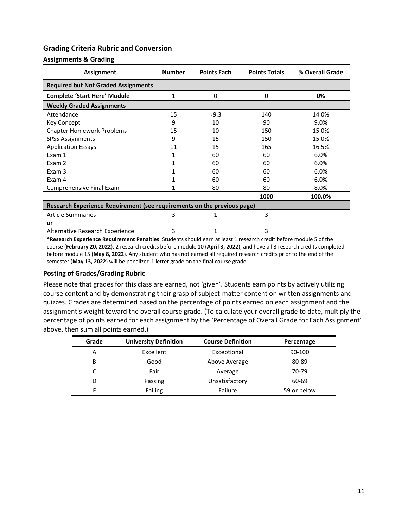## **Grading Criteria Rubric and Conversion**

#### **Assignments & Grading**

| Assignment                                                              | <b>Number</b> | <b>Points Each</b> | <b>Points Totals</b> | % Overall Grade |
|-------------------------------------------------------------------------|---------------|--------------------|----------------------|-----------------|
| <b>Required but Not Graded Assignments</b>                              |               |                    |                      |                 |
| <b>Complete 'Start Here' Module</b>                                     | 1             | 0                  | 0                    | 0%              |
| <b>Weekly Graded Assignments</b>                                        |               |                    |                      |                 |
| Attendance                                                              | 15            | $\approx$ 9.3      | 140                  | 14.0%           |
| <b>Key Concept</b>                                                      | 9             | 10                 | 90                   | 9.0%            |
| <b>Chapter Homework Problems</b>                                        | 15            | 10                 | 150                  | 15.0%           |
| <b>SPSS Assignments</b>                                                 | 9             | 15                 | 150                  | 15.0%           |
| <b>Application Essays</b>                                               | 11            | 15                 | 165                  | 16.5%           |
| Exam 1                                                                  |               | 60                 | 60                   | 6.0%            |
| Exam 2                                                                  |               | 60                 | 60                   | 6.0%            |
| Exam 3                                                                  |               | 60                 | 60                   | 6.0%            |
| Exam 4                                                                  |               | 60                 | 60                   | 6.0%            |
| Comprehensive Final Exam                                                |               | 80                 | 80                   | 8.0%            |
|                                                                         |               |                    | 1000                 | 100.0%          |
| Research Experience Requirement (see requirements on the previous page) |               |                    |                      |                 |
| <b>Article Summaries</b>                                                | 3             |                    | 3                    |                 |
| or                                                                      |               |                    |                      |                 |
| Alternative Research Experience                                         | 3             |                    | 3                    |                 |

**\*Research Experience Requirement Penalties**: Students should earn at least 1 research credit before module 5 of the course (**February 20, 2022**), 2 research credits before module 10 (**April 3, 2022**), and have all 3 research credits completed before module 15 (**May 8, 2022**). Any student who has not earned all required research credits prior to the end of the semester (**May 13, 2022**) will be penalized 1 letter grade on the final course grade.

## **Posting of Grades/Grading Rubric**

Please note that grades for this class are earned, not 'given'. Students earn points by actively utilizing course content and by demonstrating their grasp of subject-matter content on written assignments and quizzes. Grades are determined based on the percentage of points earned on each assignment and the assignment's weight toward the overall course grade. (To calculate your overall grade to date, multiply the percentage of points earned for each assignment by the 'Percentage of Overall Grade for Each Assignment' above, then sum all points earned.)

| Grade | <b>University Definition</b> | <b>Course Definition</b> | Percentage  |
|-------|------------------------------|--------------------------|-------------|
| A     | Excellent                    | Exceptional              | 90-100      |
| В     | Good                         | Above Average            | 80-89       |
| C     | Fair                         | Average                  | 70-79       |
| D     | Passing                      | Unsatisfactory           | 60-69       |
| F     | Failing                      | Failure                  | 59 or below |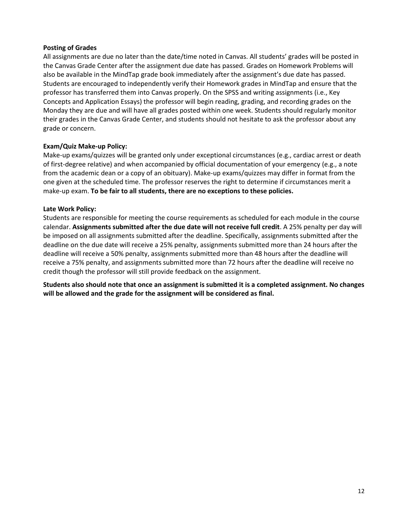#### **Posting of Grades**

All assignments are due no later than the date/time noted in Canvas. All students' grades will be posted in the Canvas Grade Center after the assignment due date has passed. Grades on Homework Problems will also be available in the MindTap grade book immediately after the assignment's due date has passed. Students are encouraged to independently verify their Homework grades in MindTap and ensure that the professor has transferred them into Canvas properly. On the SPSS and writing assignments (i.e., Key Concepts and Application Essays) the professor will begin reading, grading, and recording grades on the Monday they are due and will have all grades posted within one week. Students should regularly monitor their grades in the Canvas Grade Center, and students should not hesitate to ask the professor about any grade or concern.

#### **Exam/Quiz Make-up Policy:**

Make-up exams/quizzes will be granted only under exceptional circumstances (e.g., cardiac arrest or death of first-degree relative) and when accompanied by official documentation of your emergency (e.g., a note from the academic dean or a copy of an obituary). Make-up exams/quizzes may differ in format from the one given at the scheduled time. The professor reserves the right to determine if circumstances merit a make-up exam. **To be fair to all students, there are no exceptions to these policies.**

#### **Late Work Policy:**

Students are responsible for meeting the course requirements as scheduled for each module in the course calendar. **Assignments submitted after the due date will not receive full credit**. A 25% penalty per day will be imposed on all assignments submitted after the deadline. Specifically, assignments submitted after the deadline on the due date will receive a 25% penalty, assignments submitted more than 24 hours after the deadline will receive a 50% penalty, assignments submitted more than 48 hours after the deadline will receive a 75% penalty, and assignments submitted more than 72 hours after the deadline will receive no credit though the professor will still provide feedback on the assignment.

**Students also should note that once an assignment is submitted it is a completed assignment. No changes will be allowed and the grade for the assignment will be considered as final.**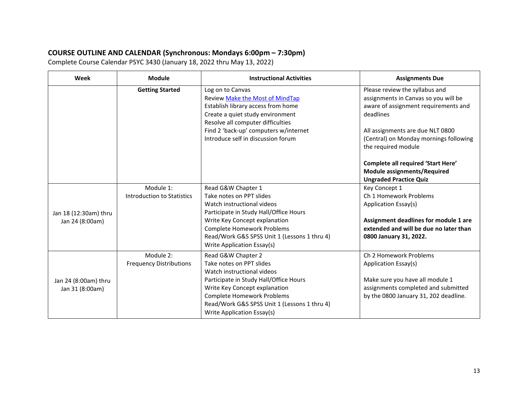# **COURSE OUTLINE AND CALENDAR (Synchronous: Mondays 6:00pm – 7:30pm)**

Complete Course Calendar PSYC 3430 (January 18, 2022 thru May 13, 2022)

| Week                  | <b>Module</b>                  | <b>Instructional Activities</b>                                                                                                                                                                                    | <b>Assignments Due</b>                                                                                                                                          |
|-----------------------|--------------------------------|--------------------------------------------------------------------------------------------------------------------------------------------------------------------------------------------------------------------|-----------------------------------------------------------------------------------------------------------------------------------------------------------------|
|                       | <b>Getting Started</b>         | Log on to Canvas<br><b>Review Make the Most of MindTap</b><br>Establish library access from home<br>Create a quiet study environment<br>Resolve all computer difficulties<br>Find 2 'back-up' computers w/internet | Please review the syllabus and<br>assignments in Canvas so you will be<br>aware of assignment requirements and<br>deadlines<br>All assignments are due NLT 0800 |
|                       |                                | Introduce self in discussion forum                                                                                                                                                                                 | (Central) on Monday mornings following<br>the required module<br><b>Complete all required 'Start Here'</b><br>Module assignments/Required                       |
|                       | Module 1:                      | Read G&W Chapter 1                                                                                                                                                                                                 | <b>Ungraded Practice Quiz</b><br>Key Concept 1                                                                                                                  |
|                       | Introduction to Statistics     | Take notes on PPT slides                                                                                                                                                                                           | Ch 1 Homework Problems                                                                                                                                          |
|                       |                                | Watch instructional videos                                                                                                                                                                                         | Application Essay(s)                                                                                                                                            |
| Jan 18 (12:30am) thru |                                | Participate in Study Hall/Office Hours                                                                                                                                                                             |                                                                                                                                                                 |
| Jan 24 (8:00am)       |                                | Write Key Concept explanation                                                                                                                                                                                      | Assignment deadlines for module 1 are                                                                                                                           |
|                       |                                | <b>Complete Homework Problems</b>                                                                                                                                                                                  | extended and will be due no later than                                                                                                                          |
|                       |                                | Read/Work G&S SPSS Unit 1 (Lessons 1 thru 4)<br>Write Application Essay(s)                                                                                                                                         | 0800 January 31, 2022.                                                                                                                                          |
|                       | Module 2:                      | Read G&W Chapter 2                                                                                                                                                                                                 | Ch 2 Homework Problems                                                                                                                                          |
|                       | <b>Frequency Distributions</b> | Take notes on PPT slides                                                                                                                                                                                           | Application Essay(s)                                                                                                                                            |
|                       |                                | Watch instructional videos                                                                                                                                                                                         |                                                                                                                                                                 |
| Jan 24 (8:00am) thru  |                                | Participate in Study Hall/Office Hours                                                                                                                                                                             | Make sure you have all module 1                                                                                                                                 |
| Jan 31 (8:00am)       |                                | Write Key Concept explanation                                                                                                                                                                                      | assignments completed and submitted                                                                                                                             |
|                       |                                | <b>Complete Homework Problems</b>                                                                                                                                                                                  | by the 0800 January 31, 202 deadline.                                                                                                                           |
|                       |                                | Read/Work G&S SPSS Unit 1 (Lessons 1 thru 4)<br>Write Application Essay(s)                                                                                                                                         |                                                                                                                                                                 |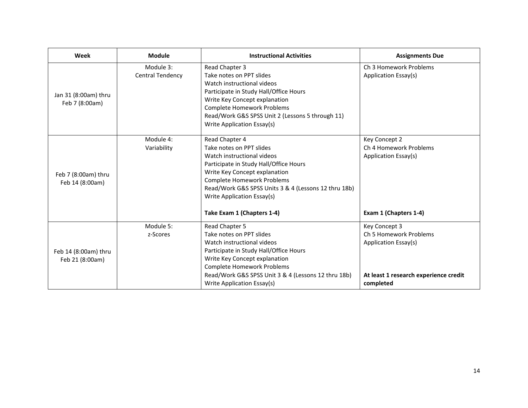| Week                                    | <b>Module</b>                        | <b>Instructional Activities</b>                                                                                                                                                                                                                                                                              | <b>Assignments Due</b>                                                                                                |
|-----------------------------------------|--------------------------------------|--------------------------------------------------------------------------------------------------------------------------------------------------------------------------------------------------------------------------------------------------------------------------------------------------------------|-----------------------------------------------------------------------------------------------------------------------|
| Jan 31 (8:00am) thru<br>Feb 7 (8:00am)  | Module 3:<br><b>Central Tendency</b> | Read Chapter 3<br>Take notes on PPT slides<br>Watch instructional videos<br>Participate in Study Hall/Office Hours<br>Write Key Concept explanation<br><b>Complete Homework Problems</b><br>Read/Work G&S SPSS Unit 2 (Lessons 5 through 11)<br>Write Application Essay(s)                                   | Ch 3 Homework Problems<br>Application Essay(s)                                                                        |
| Feb 7 (8:00am) thru<br>Feb 14 (8:00am)  | Module 4:<br>Variability             | Read Chapter 4<br>Take notes on PPT slides<br>Watch instructional videos<br>Participate in Study Hall/Office Hours<br>Write Key Concept explanation<br><b>Complete Homework Problems</b><br>Read/Work G&S SPSS Units 3 & 4 (Lessons 12 thru 18b)<br>Write Application Essay(s)<br>Take Exam 1 (Chapters 1-4) | Key Concept 2<br>Ch 4 Homework Problems<br>Application Essay(s)<br>Exam 1 (Chapters 1-4)                              |
| Feb 14 (8:00am) thru<br>Feb 21 (8:00am) | Module 5:<br>z-Scores                | Read Chapter 5<br>Take notes on PPT slides<br>Watch instructional videos<br>Participate in Study Hall/Office Hours<br>Write Key Concept explanation<br><b>Complete Homework Problems</b><br>Read/Work G&S SPSS Unit 3 & 4 (Lessons 12 thru 18b)<br>Write Application Essay(s)                                | Key Concept 3<br>Ch 5 Homework Problems<br>Application Essay(s)<br>At least 1 research experience credit<br>completed |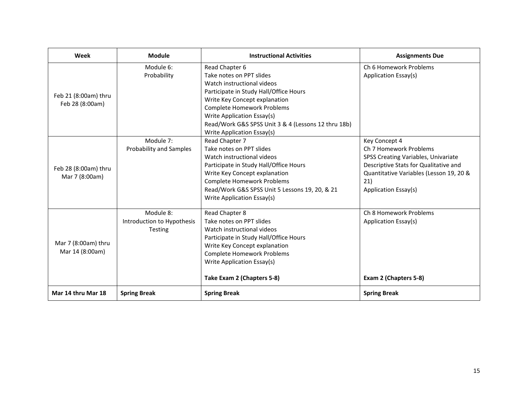| Week                                    | <b>Module</b>                                      | <b>Instructional Activities</b>                                                                                                                                                                                                                                                                             | <b>Assignments Due</b>                                                                                                                                                                            |
|-----------------------------------------|----------------------------------------------------|-------------------------------------------------------------------------------------------------------------------------------------------------------------------------------------------------------------------------------------------------------------------------------------------------------------|---------------------------------------------------------------------------------------------------------------------------------------------------------------------------------------------------|
| Feb 21 (8:00am) thru<br>Feb 28 (8:00am) | Module 6:<br>Probability                           | Read Chapter 6<br>Take notes on PPT slides<br>Watch instructional videos<br>Participate in Study Hall/Office Hours<br>Write Key Concept explanation<br><b>Complete Homework Problems</b><br>Write Application Essay(s)<br>Read/Work G&S SPSS Unit 3 & 4 (Lessons 12 thru 18b)<br>Write Application Essay(s) | Ch 6 Homework Problems<br>Application Essay(s)                                                                                                                                                    |
| Feb 28 (8:00am) thru<br>Mar 7 (8:00am)  | Module 7:<br><b>Probability and Samples</b>        | Read Chapter 7<br>Take notes on PPT slides<br>Watch instructional videos<br>Participate in Study Hall/Office Hours<br>Write Key Concept explanation<br><b>Complete Homework Problems</b><br>Read/Work G&S SPSS Unit 5 Lessons 19, 20, & 21<br>Write Application Essay(s)                                    | Key Concept 4<br>Ch 7 Homework Problems<br>SPSS Creating Variables, Univariate<br>Descriptive Stats for Qualitative and<br>Quantitative Variables (Lesson 19, 20 &<br>21)<br>Application Essay(s) |
| Mar 7 (8:00am) thru<br>Mar 14 (8:00am)  | Module 8:<br>Introduction to Hypothesis<br>Testing | Read Chapter 8<br>Take notes on PPT slides<br>Watch instructional videos<br>Participate in Study Hall/Office Hours<br>Write Key Concept explanation<br><b>Complete Homework Problems</b><br>Write Application Essay(s)<br>Take Exam 2 (Chapters 5-8)                                                        | Ch 8 Homework Problems<br>Application Essay(s)<br>Exam 2 (Chapters 5-8)                                                                                                                           |
| Mar 14 thru Mar 18                      | <b>Spring Break</b>                                | <b>Spring Break</b>                                                                                                                                                                                                                                                                                         | <b>Spring Break</b>                                                                                                                                                                               |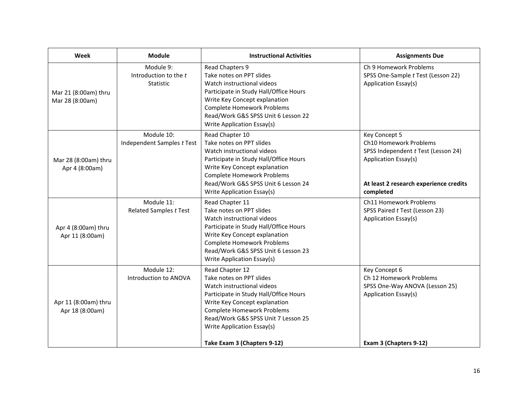| Week                                    | <b>Module</b>                                          | <b>Instructional Activities</b>                                                                                                                                                                                                                                                               | <b>Assignments Due</b>                                                                                                                                        |
|-----------------------------------------|--------------------------------------------------------|-----------------------------------------------------------------------------------------------------------------------------------------------------------------------------------------------------------------------------------------------------------------------------------------------|---------------------------------------------------------------------------------------------------------------------------------------------------------------|
| Mar 21 (8:00am) thru<br>Mar 28 (8:00am) | Module 9:<br>Introduction to the t<br><b>Statistic</b> | Read Chapters 9<br>Take notes on PPT slides<br>Watch instructional videos<br>Participate in Study Hall/Office Hours<br>Write Key Concept explanation<br><b>Complete Homework Problems</b><br>Read/Work G&S SPSS Unit 6 Lesson 22<br>Write Application Essay(s)                                | Ch 9 Homework Problems<br>SPSS One-Sample t Test (Lesson 22)<br>Application Essay(s)                                                                          |
| Mar 28 (8:00am) thru<br>Apr 4 (8:00am)  | Module 10:<br>Independent Samples t Test               | Read Chapter 10<br>Take notes on PPT slides<br>Watch instructional videos<br>Participate in Study Hall/Office Hours<br>Write Key Concept explanation<br><b>Complete Homework Problems</b><br>Read/Work G&S SPSS Unit 6 Lesson 24<br>Write Application Essay(s)                                | Key Concept 5<br>Ch10 Homework Problems<br>SPSS Independent t Test (Lesson 24)<br>Application Essay(s)<br>At least 2 research experience credits<br>completed |
| Apr 4 (8:00am) thru<br>Apr 11 (8:00am)  | Module 11:<br>Related Samples t Test                   | Read Chapter 11<br>Take notes on PPT slides<br>Watch instructional videos<br>Participate in Study Hall/Office Hours<br>Write Key Concept explanation<br><b>Complete Homework Problems</b><br>Read/Work G&S SPSS Unit 6 Lesson 23<br>Write Application Essay(s)                                | <b>Ch11 Homework Problems</b><br>SPSS Paired t Test (Lesson 23)<br>Application Essay(s)                                                                       |
| Apr 11 (8:00am) thru<br>Apr 18 (8:00am) | Module 12:<br>Introduction to ANOVA                    | Read Chapter 12<br>Take notes on PPT slides<br>Watch instructional videos<br>Participate in Study Hall/Office Hours<br>Write Key Concept explanation<br><b>Complete Homework Problems</b><br>Read/Work G&S SPSS Unit 7 Lesson 25<br>Write Application Essay(s)<br>Take Exam 3 (Chapters 9-12) | Key Concept 6<br>Ch 12 Homework Problems<br>SPSS One-Way ANOVA (Lesson 25)<br>Application Essay(s)<br>Exam 3 (Chapters 9-12)                                  |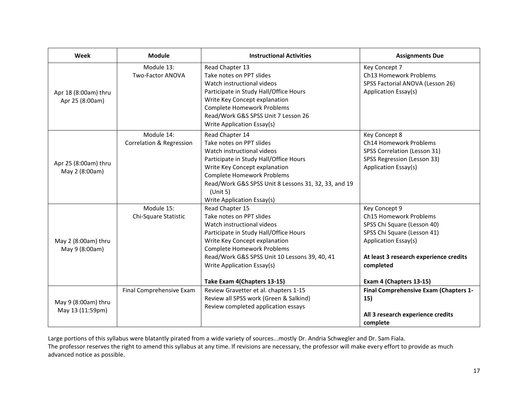| Week                                    | Module                                 | <b>Instructional Activities</b>                                                                                                                                                                                                                                                                         | <b>Assignments Due</b>                                                                                                                                                                                          |
|-----------------------------------------|----------------------------------------|---------------------------------------------------------------------------------------------------------------------------------------------------------------------------------------------------------------------------------------------------------------------------------------------------------|-----------------------------------------------------------------------------------------------------------------------------------------------------------------------------------------------------------------|
| Apr 18 (8:00am) thru<br>Apr 25 (8:00am) | Module 13:<br>Two-Factor ANOVA         | Read Chapter 13<br>Take notes on PPT slides<br>Watch instructional videos<br>Participate in Study Hall/Office Hours<br>Write Key Concept explanation<br><b>Complete Homework Problems</b><br>Read/Work G&S SPSS Unit 7 Lesson 26<br>Write Application Essay(s)                                          | Key Concept 7<br>Ch13 Homework Problems<br>SPSS Factorial ANOVA (Lesson 26)<br>Application Essay(s)                                                                                                             |
| Apr 25 (8:00am) thru<br>May 2 (8:00am)  | Module 14:<br>Correlation & Regression | Read Chapter 14<br>Take notes on PPT slides<br>Watch instructional videos<br>Participate in Study Hall/Office Hours<br>Write Key Concept explanation<br><b>Complete Homework Problems</b><br>Read/Work G&S SPSS Unit 8 Lessons 31, 32, 33, and 19<br>(Unit 5)<br>Write Application Essay(s)             | Key Concept 8<br>Ch14 Homework Problems<br>SPSS Correlation (Lesson 31)<br>SPSS Regression (Lesson 33)<br>Application Essay(s)                                                                                  |
| May 2 (8:00am) thru<br>May 9 (8:00am)   | Module 15:<br>Chi-Square Statistic     | Read Chapter 15<br>Take notes on PPT slides<br>Watch instructional videos<br>Participate in Study Hall/Office Hours<br>Write Key Concept explanation<br><b>Complete Homework Problems</b><br>Read/Work G&S SPSS Unit 10 Lessons 39, 40, 41<br>Write Application Essay(s)<br>Take Exam 4(Chapters 13-15) | Key Concept 9<br>Ch15 Homework Problems<br>SPSS Chi Square (Lesson 40)<br>SPSS Chi Square (Lesson 41)<br>Application Essay(s)<br>At least 3 research experience credits<br>completed<br>Exam 4 (Chapters 13-15) |
| May 9 (8:00am) thru<br>May 13 (11:59pm) | Final Comprehensive Exam               | Review Gravetter et al. chapters 1-15<br>Review all SPSS work (Green & Salkind)<br>Review completed application essays                                                                                                                                                                                  | Final Comprehensive Exam (Chapters 1-<br>15)<br>All 3 research experience credits<br>complete                                                                                                                   |

Large portions of this syllabus were blatantly pirated from a wide variety of sources...mostly Dr. Andria Schwegler and Dr. Sam Fiala. The professor reserves the right to amend this syllabus at any time. If revisions are necessary, the professor will make every effort to provide as much advanced notice as possible.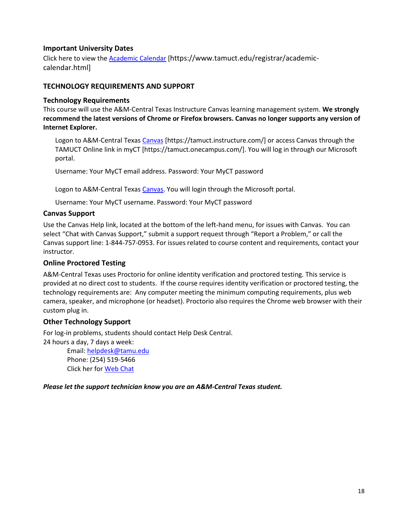## **Important University Dates**

Click here to view the [Academic Calendar](https://www.tamuct.edu/registrar/academic-calendar.html) [https://www.tamuct.edu/registrar/academiccalendar.html]

## **TECHNOLOGY REQUIREMENTS AND SUPPORT**

## **Technology Requirements**

This course will use the A&M-Central Texas Instructure Canvas learning management system. **We strongly recommend the latest versions of Chrome or Firefox browsers. Canvas no longer supports any version of Internet Explorer.**

Logon to A&M-Central Texas [Canvas](https://tamuct.instructure.com/) [https://tamuct.instructure.com/] or access Canvas through the TAMUCT Online link in myCT [https://tamuct.onecampus.com/]. You will log in through our Microsoft portal.

Username: Your MyCT email address. Password: Your MyCT password

Logon to A&M-Central Texas [Canvas.](https://tamuct.instructure.com/) You will login through the Microsoft portal.

Username: Your MyCT username. Password: Your MyCT password

## **Canvas Support**

Use the Canvas Help link, located at the bottom of the left-hand menu, for issues with Canvas. You can select "Chat with Canvas Support," submit a support request through "Report a Problem," or call the Canvas support line: 1-844-757-0953. For issues related to course content and requirements, contact your instructor.

## **Online Proctored Testing**

A&M-Central Texas uses Proctorio for online identity verification and proctored testing. This service is provided at no direct cost to students. If the course requires identity verification or proctored testing, the technology requirements are: Any computer meeting the minimum computing requirements, plus web camera, speaker, and microphone (or headset). Proctorio also requires the Chrome web browser with their custom plug in.

## **Other Technology Support**

For log-in problems, students should contact Help Desk Central.

24 hours a day, 7 days a week:

Email[: helpdesk@tamu.edu](mailto:helpdesk@tamu.edu) Phone: (254) 519-5466 Click her for [Web Chat](http://hdc.tamu.edu/)

*Please let the support technician know you are an A&M-Central Texas student.*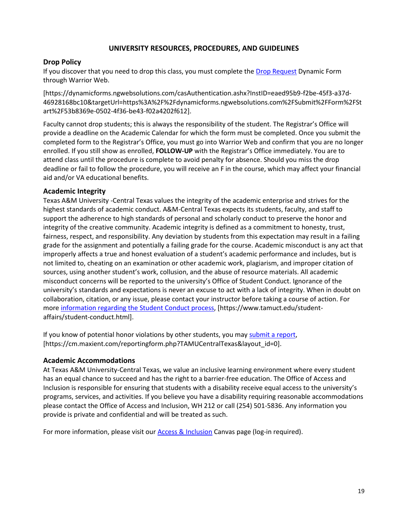#### **UNIVERSITY RESOURCES, PROCEDURES, AND GUIDELINES**

## **Drop Policy**

If you discover that you need to drop this class, you must complete the [Drop Request](https://dynamicforms.ngwebsolutions.com/casAuthentication.ashx?InstID=eaed95b9-f2be-45f3-a37d-46928168bc10&targetUrl=https%3A%2F%2Fdynamicforms.ngwebsolutions.com%2FSubmit%2FForm%2FStart%2F53b8369e-0502-4f36-be43-f02a4202f612) Dynamic Form through Warrior Web.

[https://dynamicforms.ngwebsolutions.com/casAuthentication.ashx?InstID=eaed95b9-f2be-45f3-a37d-46928168bc10&targetUrl=https%3A%2F%2Fdynamicforms.ngwebsolutions.com%2FSubmit%2FForm%2FSt art%2F53b8369e-0502-4f36-be43-f02a4202f612].

Faculty cannot drop students; this is always the responsibility of the student. The Registrar's Office will provide a deadline on the Academic Calendar for which the form must be completed. Once you submit the completed form to the Registrar's Office, you must go into Warrior Web and confirm that you are no longer enrolled. If you still show as enrolled, **FOLLOW-UP** with the Registrar's Office immediately. You are to attend class until the procedure is complete to avoid penalty for absence. Should you miss the drop deadline or fail to follow the procedure, you will receive an F in the course, which may affect your financial aid and/or VA educational benefits.

#### **Academic Integrity**

Texas A&M University -Central Texas values the integrity of the academic enterprise and strives for the highest standards of academic conduct. A&M-Central Texas expects its students, faculty, and staff to support the adherence to high standards of personal and scholarly conduct to preserve the honor and integrity of the creative community. Academic integrity is defined as a commitment to honesty, trust, fairness, respect, and responsibility. Any deviation by students from this expectation may result in a failing grade for the assignment and potentially a failing grade for the course. Academic misconduct is any act that improperly affects a true and honest evaluation of a student's academic performance and includes, but is not limited to, cheating on an examination or other academic work, plagiarism, and improper citation of sources, using another student's work, collusion, and the abuse of resource materials. All academic misconduct concerns will be reported to the university's Office of Student Conduct. Ignorance of the university's standards and expectations is never an excuse to act with a lack of integrity. When in doubt on collaboration, citation, or any issue, please contact your instructor before taking a course of action. For more [information](https://nam04.safelinks.protection.outlook.com/?url=https%3A%2F%2Fwww.tamuct.edu%2Fstudent-affairs%2Fstudent-conduct.html&data=04%7C01%7Clisa.bunkowski%40tamuct.edu%7Ccfb6e486f24745f53e1a08d910055cb2%7C9eed4e3000f744849ff193ad8005acec%7C0%7C0%7C637558437485252160%7CUnknown%7CTWFpbGZsb3d8eyJWIjoiMC4wLjAwMDAiLCJQIjoiV2luMzIiLCJBTiI6Ik1haWwiLCJXVCI6Mn0%3D%7C1000&sdata=yjftDEVHvLX%2FhM%2FcFU0B99krV1RgEWR%2BJ%2BhvtoR6TYk%3D&reserved=0) regarding the Student Conduct process, [https://www.tamuct.edu/studentaffairs/student-conduct.html].

If you know of potential honor violations by other students, you may [submit](https://nam04.safelinks.protection.outlook.com/?url=https%3A%2F%2Fcm.maxient.com%2Freportingform.php%3FTAMUCentralTexas%26layout_id%3D0&data=04%7C01%7Clisa.bunkowski%40tamuct.edu%7Ccfb6e486f24745f53e1a08d910055cb2%7C9eed4e3000f744849ff193ad8005acec%7C0%7C0%7C637558437485262157%7CUnknown%7CTWFpbGZsb3d8eyJWIjoiMC4wLjAwMDAiLCJQIjoiV2luMzIiLCJBTiI6Ik1haWwiLCJXVCI6Mn0%3D%7C1000&sdata=CXGkOa6uPDPX1IMZ87z3aZDq2n91xfHKu4MMS43Ejjk%3D&reserved=0) a report, [https://cm.maxient.com/reportingform.php?TAMUCentralTexas&layout\_id=0].

#### **Academic Accommodations**

At Texas A&M University-Central Texas, we value an inclusive learning environment where every student has an equal chance to succeed and has the right to a barrier-free education. The Office of Access and Inclusion is responsible for ensuring that students with a disability receive equal access to the university's programs, services, and activities. If you believe you have a disability requiring reasonable accommodations please contact the Office of Access and Inclusion, WH 212 or call (254) 501-5836. Any information you provide is private and confidential and will be treated as such.

For more information, please visit our **Access & Inclusion Canvas page (log-in required)**.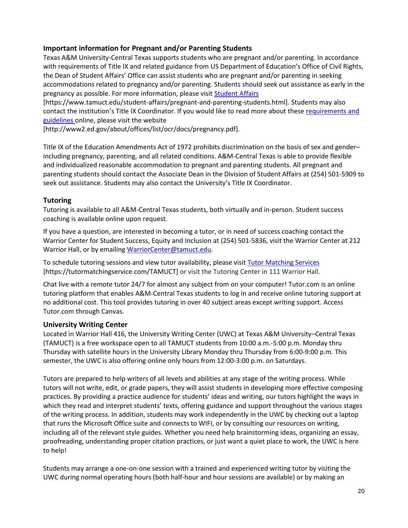## **Important information for Pregnant and/or Parenting Students**

Texas A&M University-Central Texas supports students who are pregnant and/or parenting. In accordance with requirements of Title IX and related guidance from US Department of Education's Office of Civil Rights, the Dean of Student Affairs' Office can assist students who are pregnant and/or parenting in seeking accommodations related to pregnancy and/or parenting. Students should seek out assistance as early in the pregnancy as possible. For more information, please visi[t Student Affairs](https://www.tamuct.edu/student-affairs/pregnant-and-parenting-students.html)

[https://www.tamuct.edu/student-affairs/pregnant-and-parenting-students.html]. Students may also contact the institution's Title IX Coordinator. If you would like to read more about these [requirements and](http://www2.ed.gov/about/offices/list/ocr/docs/pregnancy.pdf)  [guidelines](http://www2.ed.gov/about/offices/list/ocr/docs/pregnancy.pdf) online, please visit the website

[http://www2.ed.gov/about/offices/list/ocr/docs/pregnancy.pdf].

Title IX of the Education Amendments Act of 1972 prohibits discrimination on the basis of sex and gender– including pregnancy, parenting, and all related conditions. A&M-Central Texas is able to provide flexible and individualized reasonable accommodation to pregnant and parenting students. All pregnant and parenting students should contact the Associate Dean in the Division of Student Affairs at (254) 501-5909 to seek out assistance. Students may also contact the University's Title IX Coordinator.

## **Tutoring**

Tutoring is available to all A&M-Central Texas students, both virtually and in-person. Student success coaching is available online upon request.

If you have a question, are interested in becoming a tutor, or in need of success coaching contact the Warrior Center for Student Success, Equity and Inclusion at (254) 501-5836, visit the Warrior Center at 212 Warrior Hall, or by emailing [WarriorCenter@tamuct.edu.](mailto:WarriorCenter@tamuct.edu)

To schedule tutoring sessions and view tutor availability, please visit Tutor [Matching](https://tutormatchingservice.com/TAMUCT) Services [https://tutormatchingservice.com/TAMUCT] or visit the Tutoring Center in 111 Warrior Hall.

Chat live with a remote tutor 24/7 for almost any subject from on your computer! Tutor.com is an online tutoring platform that enables A&M-Central Texas students to log in and receive online tutoring support at no additional cost. This tool provides tutoring in over 40 subject areas except writing support. Access Tutor.com through Canvas.

# **University Writing Center**

Located in Warrior Hall 416, the University Writing Center (UWC) at Texas A&M University–Central Texas (TAMUCT) is a free workspace open to all TAMUCT students from 10:00 a.m.-5:00 p.m. Monday thru Thursday with satellite hours in the University Library Monday thru Thursday from 6:00-9:00 p.m. This semester, the UWC is also offering online only hours from 12:00-3:00 p.m. on Saturdays.

Tutors are prepared to help writers of all levels and abilities at any stage of the writing process. While tutors will not write, edit, or grade papers, they will assist students in developing more effective composing practices. By providing a practice audience for students' ideas and writing, our tutors highlight the ways in which they read and interpret students' texts, offering guidance and support throughout the various stages of the writing process. In addition, students may work independently in the UWC by checking out a laptop that runs the Microsoft Office suite and connects to WIFI, or by consulting our resources on writing, including all of the relevant style guides. Whether you need help brainstorming ideas, organizing an essay, proofreading, understanding proper citation practices, or just want a quiet place to work, the UWC is here to help!

Students may arrange a one-on-one session with a trained and experienced writing tutor by visiting the UWC during normal operating hours (both half-hour and hour sessions are available) or by making an